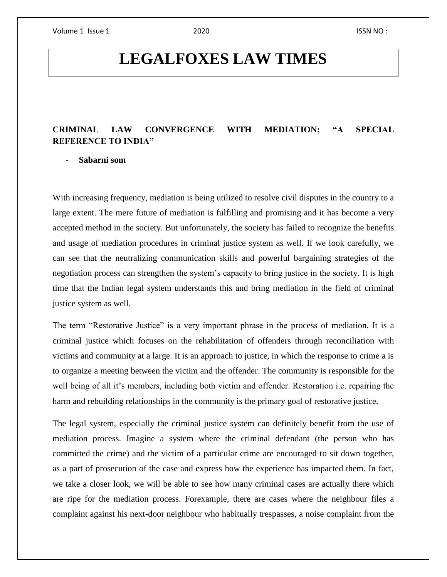# **LEGALFOXES LAW TIMES**

### **CRIMINAL LAW CONVERGENCE WITH MEDIATION; "A SPECIAL REFERENCE TO INDIA"**

### - **Sabarni som**

With increasing frequency, mediation is being utilized to resolve civil disputes in the country to a large extent. The mere future of mediation is fulfilling and promising and it has become a very accepted method in the society. But unfortunately, the society has failed to recognize the benefits and usage of mediation procedures in criminal justice system as well. If we look carefully, we can see that the neutralizing communication skills and powerful bargaining strategies of the negotiation process can strengthen the system's capacity to bring justice in the society. It is high time that the Indian legal system understands this and bring mediation in the field of criminal justice system as well.

The term "Restorative Justice" is a very important phrase in the process of mediation. It is a criminal justice which focuses on the rehabilitation of offenders through reconciliation with victims and community at a large. It is an approach to justice, in which the response to crime a is to organize a meeting between the victim and the offender. The community is responsible for the well being of all it's members, including both victim and offender. Restoration i.e. repairing the harm and rebuilding relationships in the community is the primary goal of restorative justice.

The legal system, especially the criminal justice system can definitely benefit from the use of mediation process. Imagine a system where the criminal defendant (the person who has committed the crime) and the victim of a particular crime are encouraged to sit down together, as a part of prosecution of the case and express how the experience has impacted them. In fact, we take a closer look, we will be able to see how many criminal cases are actually there which are ripe for the mediation process. Forexample, there are cases where the neighbour files a complaint against his next-door neighbour who habitually trespasses, a noise complaint from the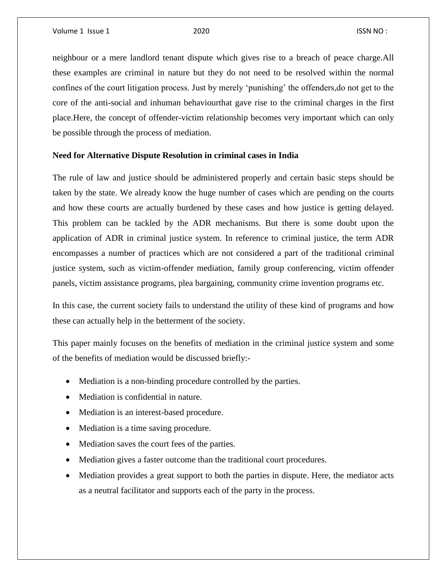neighbour or a mere landlord tenant dispute which gives rise to a breach of peace charge.All these examples are criminal in nature but they do not need to be resolved within the normal confines of the court litigation process. Just by merely 'punishing' the offenders,do not get to the core of the anti-social and inhuman behaviourthat gave rise to the criminal charges in the first place.Here, the concept of offender-victim relationship becomes very important which can only be possible through the process of mediation.

### **Need for Alternative Dispute Resolution in criminal cases in India**

The rule of law and justice should be administered properly and certain basic steps should be taken by the state. We already know the huge number of cases which are pending on the courts and how these courts are actually burdened by these cases and how justice is getting delayed. This problem can be tackled by the ADR mechanisms. But there is some doubt upon the application of ADR in criminal justice system. In reference to criminal justice, the term ADR encompasses a number of practices which are not considered a part of the traditional criminal justice system, such as victim-offender mediation, family group conferencing, victim offender panels, victim assistance programs, plea bargaining, community crime invention programs etc.

In this case, the current society fails to understand the utility of these kind of programs and how these can actually help in the betterment of the society.

This paper mainly focuses on the benefits of mediation in the criminal justice system and some of the benefits of mediation would be discussed briefly:-

- Mediation is a non-binding procedure controlled by the parties.
- Mediation is confidential in nature.
- Mediation is an interest-based procedure.
- Mediation is a time saving procedure.
- Mediation saves the court fees of the parties.
- Mediation gives a faster outcome than the traditional court procedures.
- Mediation provides a great support to both the parties in dispute. Here, the mediator acts as a neutral facilitator and supports each of the party in the process.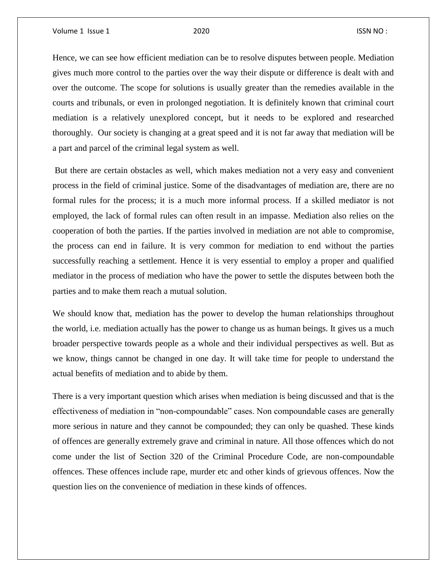Hence, we can see how efficient mediation can be to resolve disputes between people. Mediation gives much more control to the parties over the way their dispute or difference is dealt with and over the outcome. The scope for solutions is usually greater than the remedies available in the courts and tribunals, or even in prolonged negotiation. It is definitely known that criminal court mediation is a relatively unexplored concept, but it needs to be explored and researched thoroughly. Our society is changing at a great speed and it is not far away that mediation will be a part and parcel of the criminal legal system as well.

But there are certain obstacles as well, which makes mediation not a very easy and convenient process in the field of criminal justice. Some of the disadvantages of mediation are, there are no formal rules for the process; it is a much more informal process. If a skilled mediator is not employed, the lack of formal rules can often result in an impasse. Mediation also relies on the cooperation of both the parties. If the parties involved in mediation are not able to compromise, the process can end in failure. It is very common for mediation to end without the parties successfully reaching a settlement. Hence it is very essential to employ a proper and qualified mediator in the process of mediation who have the power to settle the disputes between both the parties and to make them reach a mutual solution.

We should know that, mediation has the power to develop the human relationships throughout the world, i.e. mediation actually has the power to change us as human beings. It gives us a much broader perspective towards people as a whole and their individual perspectives as well. But as we know, things cannot be changed in one day. It will take time for people to understand the actual benefits of mediation and to abide by them.

There is a very important question which arises when mediation is being discussed and that is the effectiveness of mediation in "non-compoundable" cases. Non compoundable cases are generally more serious in nature and they cannot be compounded; they can only be quashed. These kinds of offences are generally extremely grave and criminal in nature. All those offences which do not come under the list of Section 320 of the Criminal Procedure Code, are non-compoundable offences. These offences include rape, murder etc and other kinds of grievous offences. Now the question lies on the convenience of mediation in these kinds of offences.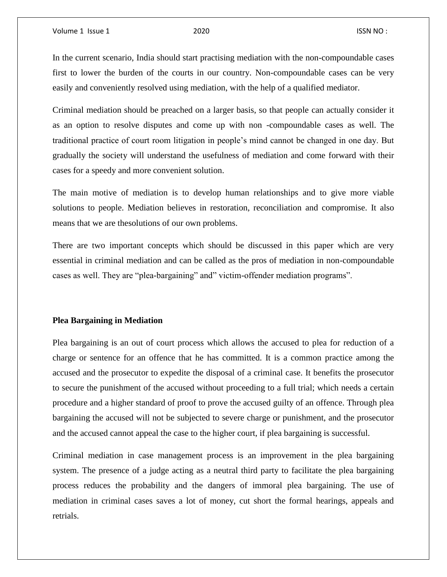In the current scenario, India should start practising mediation with the non-compoundable cases first to lower the burden of the courts in our country. Non-compoundable cases can be very easily and conveniently resolved using mediation, with the help of a qualified mediator.

Criminal mediation should be preached on a larger basis, so that people can actually consider it as an option to resolve disputes and come up with non -compoundable cases as well. The traditional practice of court room litigation in people's mind cannot be changed in one day. But gradually the society will understand the usefulness of mediation and come forward with their cases for a speedy and more convenient solution.

The main motive of mediation is to develop human relationships and to give more viable solutions to people. Mediation believes in restoration, reconciliation and compromise. It also means that we are thesolutions of our own problems.

There are two important concepts which should be discussed in this paper which are very essential in criminal mediation and can be called as the pros of mediation in non-compoundable cases as well. They are "plea-bargaining" and" victim-offender mediation programs".

### **Plea Bargaining in Mediation**

Plea bargaining is an out of court process which allows the accused to plea for reduction of a charge or sentence for an offence that he has committed. It is a common practice among the accused and the prosecutor to expedite the disposal of a criminal case. It benefits the prosecutor to secure the punishment of the accused without proceeding to a full trial; which needs a certain procedure and a higher standard of proof to prove the accused guilty of an offence. Through plea bargaining the accused will not be subjected to severe charge or punishment, and the prosecutor and the accused cannot appeal the case to the higher court, if plea bargaining is successful.

Criminal mediation in case management process is an improvement in the plea bargaining system. The presence of a judge acting as a neutral third party to facilitate the plea bargaining process reduces the probability and the dangers of immoral plea bargaining. The use of mediation in criminal cases saves a lot of money, cut short the formal hearings, appeals and retrials.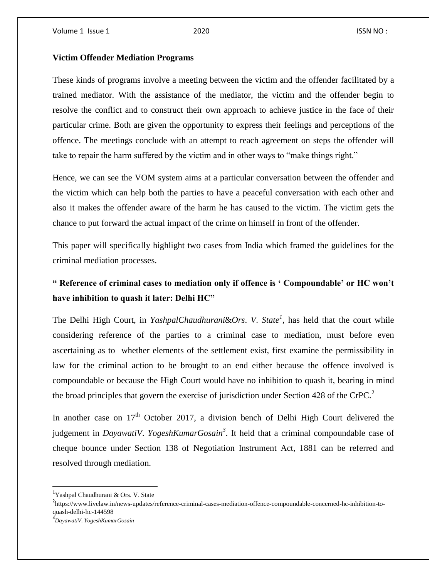### **Victim Offender Mediation Programs**

These kinds of programs involve a meeting between the victim and the offender facilitated by a trained mediator. With the assistance of the mediator, the victim and the offender begin to resolve the conflict and to construct their own approach to achieve justice in the face of their particular crime. Both are given the opportunity to express their feelings and perceptions of the offence. The meetings conclude with an attempt to reach agreement on steps the offender will take to repair the harm suffered by the victim and in other ways to "make things right."

Hence, we can see the VOM system aims at a particular conversation between the offender and the victim which can help both the parties to have a peaceful conversation with each other and also it makes the offender aware of the harm he has caused to the victim. The victim gets the chance to put forward the actual impact of the crime on himself in front of the offender.

This paper will specifically highlight two cases from India which framed the guidelines for the criminal mediation processes.

## **" Reference of criminal cases to mediation only if offence is ' Compoundable' or HC won't have inhibition to quash it later: Delhi HC"**

The Delhi High Court, in *YashpalChaudhurani*&*Ors*. *V*. *State<sup>1</sup>* , has held that the court while considering reference of the parties to a criminal case to mediation, must before even ascertaining as to whether elements of the settlement exist, first examine the permissibility in law for the criminal action to be brought to an end either because the offence involved is compoundable or because the High Court would have no inhibition to quash it, bearing in mind the broad principles that govern the exercise of jurisdiction under Section 428 of the CrPC.<sup>2</sup>

In another case on  $17<sup>th</sup>$  October 2017, a division bench of Delhi High Court delivered the judgement in *DayawatiV*. *YogeshKumarGosain<sup>3</sup>* . It held that a criminal compoundable case of cheque bounce under Section 138 of Negotiation Instrument Act, 1881 can be referred and resolved through mediation.

 $\overline{a}$ 

<sup>&</sup>lt;sup>1</sup>Yashpal Chaudhurani & Ors. V. State

<sup>&</sup>lt;sup>2</sup>https://www.livelaw.in/news-updates/reference-criminal-cases-mediation-offence-compoundable-concerned-hc-inhibition-toquash-delhi-hc-144598

<sup>3</sup> *DayawatiV*. *YogeshKumarGosain*